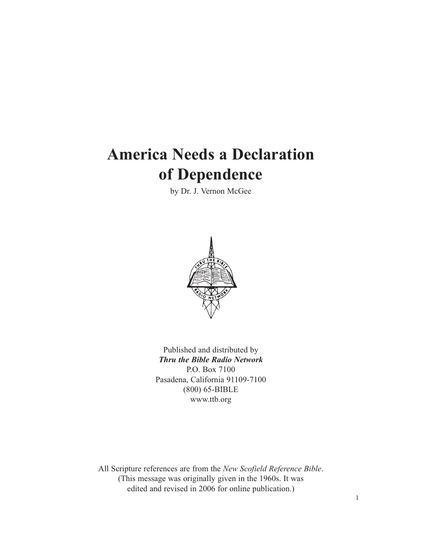# **America Needs a Declaration of Dependence**

by Dr. J. Vernon McGee



Published and distributed by *Thru the Bible Radio Network* P.O. Box 7100 Pasadena, California 91109-7100 (800) 65-BIBLE www.ttb.org

All Scripture references are from the *New Scofield Reference Bible*. (This message was originally given in the 1960s. It was edited and revised in 2006 for online publication.)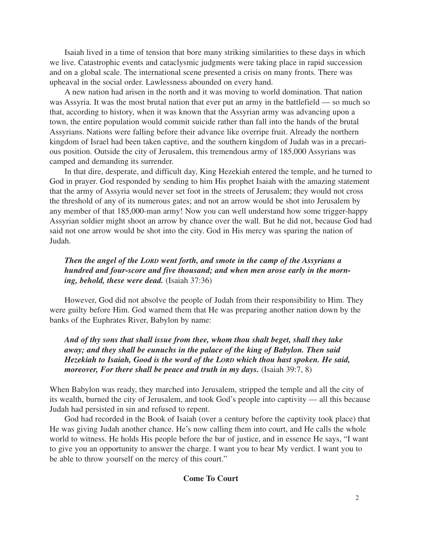Isaiah lived in a time of tension that bore many striking similarities to these days in which we live. Catastrophic events and cataclysmic judgments were taking place in rapid succession and on a global scale. The international scene presented a crisis on many fronts. There was upheaval in the social order. Lawlessness abounded on every hand.

A new nation had arisen in the north and it was moving to world domination. That nation was Assyria. It was the most brutal nation that ever put an army in the battlefield — so much so that, according to history, when it was known that the Assyrian army was advancing upon a town, the entire population would commit suicide rather than fall into the hands of the brutal Assyrians. Nations were falling before their advance like overripe fruit. Already the northern kingdom of Israel had been taken captive, and the southern kingdom of Judah was in a precarious position. Outside the city of Jerusalem, this tremendous army of 185,000 Assyrians was camped and demanding its surrender.

In that dire, desperate, and difficult day, King Hezekiah entered the temple, and he turned to God in prayer. God responded by sending to him His prophet Isaiah with the amazing statement that the army of Assyria would never set foot in the streets of Jerusalem; they would not cross the threshold of any of its numerous gates; and not an arrow would be shot into Jerusalem by any member of that 185,000-man army! Now you can well understand how some trigger-happy Assyrian soldier might shoot an arrow by chance over the wall. But he did not, because God had said not one arrow would be shot into the city. God in His mercy was sparing the nation of Judah.

# *Then the angel of the LORD went forth, and smote in the camp of the Assyrians a hundred and four-score and five thousand; and when men arose early in the morning, behold, these were dead.* (Isaiah 37:36)

However, God did not absolve the people of Judah from their responsibility to Him. They were guilty before Him. God warned them that He was preparing another nation down by the banks of the Euphrates River, Babylon by name:

# *And of thy sons that shall issue from thee, whom thou shalt beget, shall they take away; and they shall be eunuchs in the palace of the king of Babylon. Then said Hezekiah to Isaiah, Good is the word of the LORD which thou hast spoken. He said, moreover, For there shall be peace and truth in my days.* (Isaiah 39:7, 8)

When Babylon was ready, they marched into Jerusalem, stripped the temple and all the city of its wealth, burned the city of Jerusalem, and took God's people into captivity — all this because Judah had persisted in sin and refused to repent.

God had recorded in the Book of Isaiah (over a century before the captivity took place) that He was giving Judah another chance. He's now calling them into court, and He calls the whole world to witness. He holds His people before the bar of justice, and in essence He says, "I want to give you an opportunity to answer the charge. I want you to hear My verdict. I want you to be able to throw yourself on the mercy of this court."

#### **Come To Court**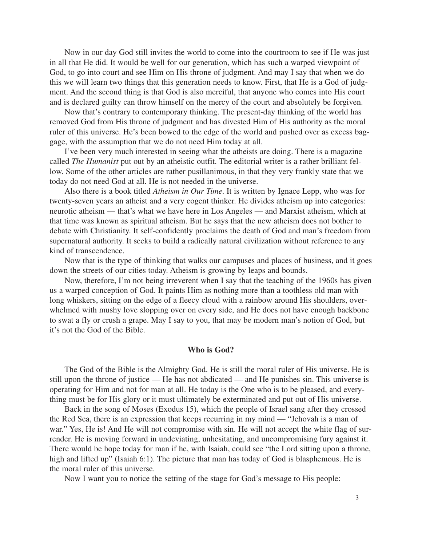Now in our day God still invites the world to come into the courtroom to see if He was just in all that He did. It would be well for our generation, which has such a warped viewpoint of God, to go into court and see Him on His throne of judgment. And may I say that when we do this we will learn two things that this generation needs to know. First, that He is a God of judgment. And the second thing is that God is also merciful, that anyone who comes into His court and is declared guilty can throw himself on the mercy of the court and absolutely be forgiven.

Now that's contrary to contemporary thinking. The present-day thinking of the world has removed God from His throne of judgment and has divested Him of His authority as the moral ruler of this universe. He's been bowed to the edge of the world and pushed over as excess baggage, with the assumption that we do not need Him today at all.

I've been very much interested in seeing what the atheists are doing. There is a magazine called *The Humanist* put out by an atheistic outfit. The editorial writer is a rather brilliant fellow. Some of the other articles are rather pusillanimous, in that they very frankly state that we today do not need God at all. He is not needed in the universe.

Also there is a book titled *Atheism in Our Time*. It is written by Ignace Lepp, who was for twenty-seven years an atheist and a very cogent thinker. He divides atheism up into categories: neurotic atheism — that's what we have here in Los Angeles — and Marxist atheism, which at that time was known as spiritual atheism. But he says that the new atheism does not bother to debate with Christianity. It self-confidently proclaims the death of God and man's freedom from supernatural authority. It seeks to build a radically natural civilization without reference to any kind of transcendence.

Now that is the type of thinking that walks our campuses and places of business, and it goes down the streets of our cities today. Atheism is growing by leaps and bounds.

Now, therefore, I'm not being irreverent when I say that the teaching of the 1960s has given us a warped conception of God. It paints Him as nothing more than a toothless old man with long whiskers, sitting on the edge of a fleecy cloud with a rainbow around His shoulders, overwhelmed with mushy love slopping over on every side, and He does not have enough backbone to swat a fly or crush a grape. May I say to you, that may be modern man's notion of God, but it's not the God of the Bible.

#### **Who is God?**

The God of the Bible is the Almighty God. He is still the moral ruler of His universe. He is still upon the throne of justice — He has not abdicated — and He punishes sin. This universe is operating for Him and not for man at all. He today is the One who is to be pleased, and everything must be for His glory or it must ultimately be exterminated and put out of His universe.

Back in the song of Moses (Exodus 15), which the people of Israel sang after they crossed the Red Sea, there is an expression that keeps recurring in my mind — "Jehovah is a man of war." Yes, He is! And He will not compromise with sin. He will not accept the white flag of surrender. He is moving forward in undeviating, unhesitating, and uncompromising fury against it. There would be hope today for man if he, with Isaiah, could see "the Lord sitting upon a throne, high and lifted up" (Isaiah 6:1). The picture that man has today of God is blasphemous. He is the moral ruler of this universe.

Now I want you to notice the setting of the stage for God's message to His people: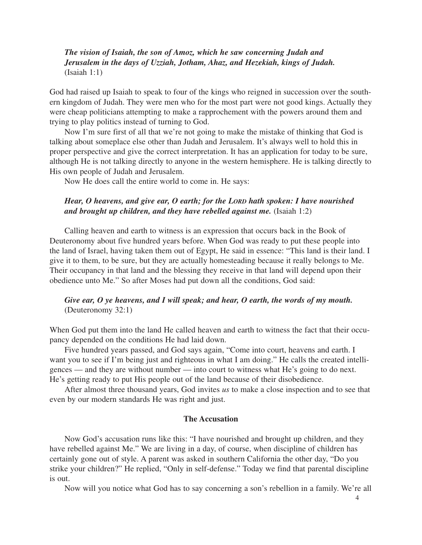*The vision of Isaiah, the son of Amoz, which he saw concerning Judah and Jerusalem in the days of Uzziah, Jotham, Ahaz, and Hezekiah, kings of Judah.* (Isaiah 1:1)

God had raised up Isaiah to speak to four of the kings who reigned in succession over the southern kingdom of Judah. They were men who for the most part were not good kings. Actually they were cheap politicians attempting to make a rapprochement with the powers around them and trying to play politics instead of turning to God.

Now I'm sure first of all that we're not going to make the mistake of thinking that God is talking about someplace else other than Judah and Jerusalem. It's always well to hold this in proper perspective and give the correct interpretation. It has an application for today to be sure, although He is not talking directly to anyone in the western hemisphere. He is talking directly to His own people of Judah and Jerusalem.

Now He does call the entire world to come in. He says:

## *Hear, O heavens, and give ear, O earth; for the LORD hath spoken: I have nourished and brought up children, and they have rebelled against me.* (Isaiah 1:2)

Calling heaven and earth to witness is an expression that occurs back in the Book of Deuteronomy about five hundred years before. When God was ready to put these people into the land of Israel, having taken them out of Egypt, He said in essence: "This land is their land. I give it to them, to be sure, but they are actually homesteading because it really belongs to Me. Their occupancy in that land and the blessing they receive in that land will depend upon their obedience unto Me." So after Moses had put down all the conditions, God said:

## *Give ear, O ye heavens, and I will speak; and hear, O earth, the words of my mouth.* (Deuteronomy 32:1)

When God put them into the land He called heaven and earth to witness the fact that their occupancy depended on the conditions He had laid down.

Five hundred years passed, and God says again, "Come into court, heavens and earth. I want you to see if I'm being just and righteous in what I am doing." He calls the created intelligences — and they are without number — into court to witness what He's going to do next. He's getting ready to put His people out of the land because of their disobedience.

After almost three thousand years, God invites *us* to make a close inspection and to see that even by our modern standards He was right and just.

#### **The Accusation**

Now God's accusation runs like this: "I have nourished and brought up children, and they have rebelled against Me." We are living in a day, of course, when discipline of children has certainly gone out of style. A parent was asked in southern California the other day, "Do you strike your children?" He replied, "Only in self-defense." Today we find that parental discipline is out.

Now will you notice what God has to say concerning a son's rebellion in a family. We're all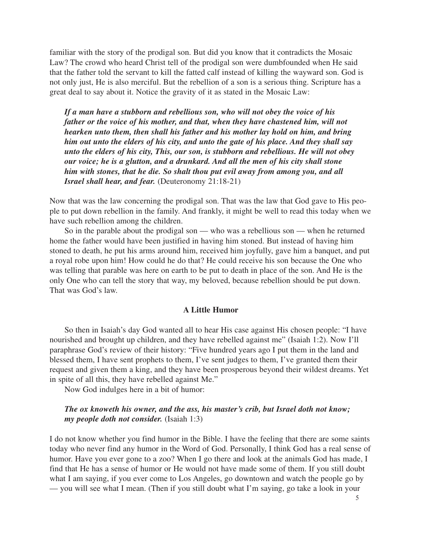familiar with the story of the prodigal son. But did you know that it contradicts the Mosaic Law? The crowd who heard Christ tell of the prodigal son were dumbfounded when He said that the father told the servant to kill the fatted calf instead of killing the wayward son. God is not only just, He is also merciful. But the rebellion of a son is a serious thing. Scripture has a great deal to say about it. Notice the gravity of it as stated in the Mosaic Law:

*If a man have a stubborn and rebellious son, who will not obey the voice of his father or the voice of his mother, and that, when they have chastened him, will not hearken unto them, then shall his father and his mother lay hold on him, and bring him out unto the elders of his city, and unto the gate of his place. And they shall say unto the elders of his city, This, our son, is stubborn and rebellious. He will not obey our voice; he is a glutton, and a drunkard. And all the men of his city shall stone him with stones, that he die. So shalt thou put evil away from among you, and all Israel shall hear, and fear.* (Deuteronomy 21:18-21)

Now that was the law concerning the prodigal son. That was the law that God gave to His people to put down rebellion in the family. And frankly, it might be well to read this today when we have such rebellion among the children.

So in the parable about the prodigal son — who was a rebellious son — when he returned home the father would have been justified in having him stoned. But instead of having him stoned to death, he put his arms around him, received him joyfully, gave him a banquet, and put a royal robe upon him! How could he do that? He could receive his son because the One who was telling that parable was here on earth to be put to death in place of the son. And He is the only One who can tell the story that way, my beloved, because rebellion should be put down. That was God's law.

#### **A Little Humor**

So then in Isaiah's day God wanted all to hear His case against His chosen people: "I have nourished and brought up children, and they have rebelled against me" (Isaiah 1:2). Now I'll paraphrase God's review of their history: "Five hundred years ago I put them in the land and blessed them, I have sent prophets to them, I've sent judges to them, I've granted them their request and given them a king, and they have been prosperous beyond their wildest dreams. Yet in spite of all this, they have rebelled against Me."

Now God indulges here in a bit of humor:

## *The ox knoweth his owner, and the ass, his master's crib, but Israel doth not know; my people doth not consider.* (Isaiah 1:3)

I do not know whether you find humor in the Bible. I have the feeling that there are some saints today who never find any humor in the Word of God. Personally, I think God has a real sense of humor. Have you ever gone to a zoo? When I go there and look at the animals God has made, I find that He has a sense of humor or He would not have made some of them. If you still doubt what I am saying, if you ever come to Los Angeles, go downtown and watch the people go by — you will see what I mean. (Then if you still doubt what I'm saying, go take a look in your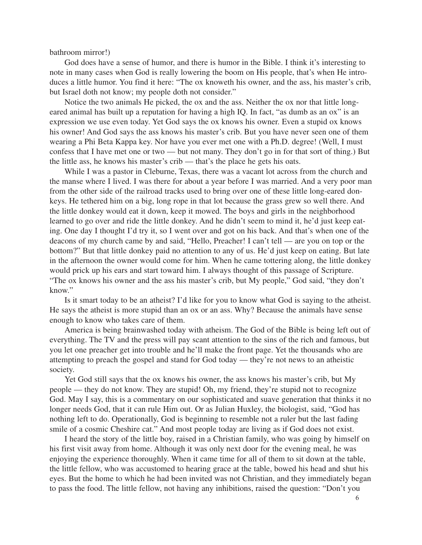bathroom mirror!)

God does have a sense of humor, and there is humor in the Bible. I think it's interesting to note in many cases when God is really lowering the boom on His people, that's when He introduces a little humor. You find it here: "The ox knoweth his owner, and the ass, his master's crib, but Israel doth not know; my people doth not consider."

Notice the two animals He picked, the ox and the ass. Neither the ox nor that little longeared animal has built up a reputation for having a high IQ. In fact, "as dumb as an ox" is an expression we use even today. Yet God says the ox knows his owner. Even a stupid ox knows his owner! And God says the ass knows his master's crib. But you have never seen one of them wearing a Phi Beta Kappa key. Nor have you ever met one with a Ph.D. degree! (Well, I must confess that I have met one or two — but not many. They don't go in for that sort of thing.) But the little ass, he knows his master's crib — that's the place he gets his oats.

While I was a pastor in Cleburne, Texas, there was a vacant lot across from the church and the manse where I lived. I was there for about a year before I was married. And a very poor man from the other side of the railroad tracks used to bring over one of these little long-eared donkeys. He tethered him on a big, long rope in that lot because the grass grew so well there. And the little donkey would eat it down, keep it mowed. The boys and girls in the neighborhood learned to go over and ride the little donkey. And he didn't seem to mind it, he'd just keep eating. One day I thought I'd try it, so I went over and got on his back. And that's when one of the deacons of my church came by and said, "Hello, Preacher! I can't tell — are you on top or the bottom?" But that little donkey paid no attention to any of us. He'd just keep on eating. But late in the afternoon the owner would come for him. When he came tottering along, the little donkey would prick up his ears and start toward him. I always thought of this passage of Scripture. "The ox knows his owner and the ass his master's crib, but My people," God said, "they don't know."

Is it smart today to be an atheist? I'd like for you to know what God is saying to the atheist. He says the atheist is more stupid than an ox or an ass. Why? Because the animals have sense enough to know who takes care of them.

America is being brainwashed today with atheism. The God of the Bible is being left out of everything. The TV and the press will pay scant attention to the sins of the rich and famous, but you let one preacher get into trouble and he'll make the front page. Yet the thousands who are attempting to preach the gospel and stand for God today — they're not news to an atheistic society.

Yet God still says that the ox knows his owner, the ass knows his master's crib, but My people — they do not know. They are stupid! Oh, my friend, they're stupid not to recognize God. May I say, this is a commentary on our sophisticated and suave generation that thinks it no longer needs God, that it can rule Him out. Or as Julian Huxley, the biologist, said, "God has nothing left to do. Operationally, God is beginning to resemble not a ruler but the last fading smile of a cosmic Cheshire cat." And most people today are living as if God does not exist.

I heard the story of the little boy, raised in a Christian family, who was going by himself on his first visit away from home. Although it was only next door for the evening meal, he was enjoying the experience thoroughly. When it came time for all of them to sit down at the table, the little fellow, who was accustomed to hearing grace at the table, bowed his head and shut his eyes. But the home to which he had been invited was not Christian, and they immediately began to pass the food. The little fellow, not having any inhibitions, raised the question: "Don't you

6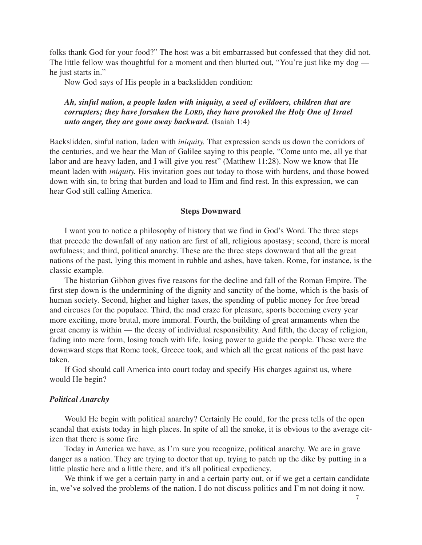folks thank God for your food?" The host was a bit embarrassed but confessed that they did not. The little fellow was thoughtful for a moment and then blurted out, "You're just like my dog he just starts in."

Now God says of His people in a backslidden condition:

# *Ah, sinful nation, a people laden with iniquity, a seed of evildoers, children that are corrupters; they have forsaken the LORD, they have provoked the Holy One of Israel unto anger, they are gone away backward.* (Isaiah 1:4)

Backslidden, sinful nation, laden with *iniquity.* That expression sends us down the corridors of the centuries, and we hear the Man of Galilee saying to this people, "Come unto me, all ye that labor and are heavy laden, and I will give you rest" (Matthew 11:28). Now we know that He meant laden with *iniquity.* His invitation goes out today to those with burdens, and those bowed down with sin, to bring that burden and load to Him and find rest. In this expression, we can hear God still calling America.

#### **Steps Downward**

I want you to notice a philosophy of history that we find in God's Word. The three steps that precede the downfall of any nation are first of all, religious apostasy; second, there is moral awfulness; and third, political anarchy. These are the three steps downward that all the great nations of the past, lying this moment in rubble and ashes, have taken. Rome, for instance, is the classic example.

The historian Gibbon gives five reasons for the decline and fall of the Roman Empire. The first step down is the undermining of the dignity and sanctity of the home, which is the basis of human society. Second, higher and higher taxes, the spending of public money for free bread and circuses for the populace. Third, the mad craze for pleasure, sports becoming every year more exciting, more brutal, more immoral. Fourth, the building of great armaments when the great enemy is within — the decay of individual responsibility. And fifth, the decay of religion, fading into mere form, losing touch with life, losing power to guide the people. These were the downward steps that Rome took, Greece took, and which all the great nations of the past have taken.

If God should call America into court today and specify His charges against us, where would He begin?

#### *Political Anarchy*

Would He begin with political anarchy? Certainly He could, for the press tells of the open scandal that exists today in high places. In spite of all the smoke, it is obvious to the average citizen that there is some fire.

Today in America we have, as I'm sure you recognize, political anarchy. We are in grave danger as a nation. They are trying to doctor that up, trying to patch up the dike by putting in a little plastic here and a little there, and it's all political expediency.

We think if we get a certain party in and a certain party out, or if we get a certain candidate in, we've solved the problems of the nation. I do not discuss politics and I'm not doing it now.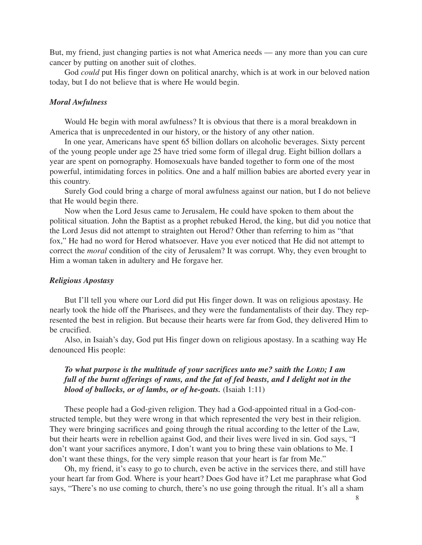But, my friend, just changing parties is not what America needs — any more than you can cure cancer by putting on another suit of clothes.

God *could* put His finger down on political anarchy, which is at work in our beloved nation today, but I do not believe that is where He would begin.

#### *Moral Awfulness*

Would He begin with moral awfulness? It is obvious that there is a moral breakdown in America that is unprecedented in our history, or the history of any other nation.

In one year, Americans have spent 65 billion dollars on alcoholic beverages. Sixty percent of the young people under age 25 have tried some form of illegal drug. Eight billion dollars a year are spent on pornography. Homosexuals have banded together to form one of the most powerful, intimidating forces in politics. One and a half million babies are aborted every year in this country.

Surely God could bring a charge of moral awfulness against our nation, but I do not believe that He would begin there.

Now when the Lord Jesus came to Jerusalem, He could have spoken to them about the political situation. John the Baptist as a prophet rebuked Herod, the king, but did you notice that the Lord Jesus did not attempt to straighten out Herod? Other than referring to him as "that fox," He had no word for Herod whatsoever. Have you ever noticed that He did not attempt to correct the *moral* condition of the city of Jerusalem? It was corrupt. Why, they even brought to Him a woman taken in adultery and He forgave her.

#### *Religious Apostasy*

But I'll tell you where our Lord did put His finger down. It was on religious apostasy. He nearly took the hide off the Pharisees, and they were the fundamentalists of their day. They represented the best in religion. But because their hearts were far from God, they delivered Him to be crucified.

Also, in Isaiah's day, God put His finger down on religious apostasy. In a scathing way He denounced His people:

# *To what purpose is the multitude of your sacrifices unto me? saith the LORD; I am full of the burnt offerings of rams, and the fat of fed beasts, and I delight not in the blood of bullocks, or of lambs, or of he-goats.* (Isaiah 1:11)

These people had a God-given religion. They had a God-appointed ritual in a God-constructed temple, but they were wrong in that which represented the very best in their religion. They were bringing sacrifices and going through the ritual according to the letter of the Law, but their hearts were in rebellion against God, and their lives were lived in sin. God says, "I don't want your sacrifices anymore, I don't want you to bring these vain oblations to Me. I don't want these things, for the very simple reason that your heart is far from Me."

Oh, my friend, it's easy to go to church, even be active in the services there, and still have your heart far from God. Where is your heart? Does God have it? Let me paraphrase what God says, "There's no use coming to church, there's no use going through the ritual. It's all a sham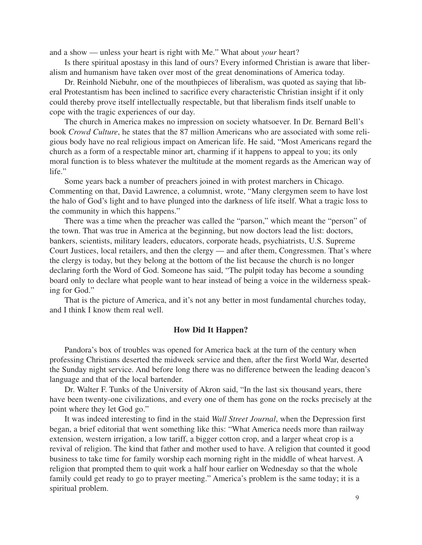and a show — unless your heart is right with Me." What about *your* heart?

Is there spiritual apostasy in this land of ours? Every informed Christian is aware that liberalism and humanism have taken over most of the great denominations of America today.

Dr. Reinhold Niebuhr, one of the mouthpieces of liberalism, was quoted as saying that liberal Protestantism has been inclined to sacrifice every characteristic Christian insight if it only could thereby prove itself intellectually respectable, but that liberalism finds itself unable to cope with the tragic experiences of our day.

The church in America makes no impression on society whatsoever. In Dr. Bernard Bell's book *Crowd Culture*, he states that the 87 million Americans who are associated with some religious body have no real religious impact on American life. He said, "Most Americans regard the church as a form of a respectable minor art, charming if it happens to appeal to you; its only moral function is to bless whatever the multitude at the moment regards as the American way of life."

Some years back a number of preachers joined in with protest marchers in Chicago. Commenting on that, David Lawrence, a columnist, wrote, "Many clergymen seem to have lost the halo of God's light and to have plunged into the darkness of life itself. What a tragic loss to the community in which this happens."

There was a time when the preacher was called the "parson," which meant the "person" of the town. That was true in America at the beginning, but now doctors lead the list: doctors, bankers, scientists, military leaders, educators, corporate heads, psychiatrists, U.S. Supreme Court Justices, local retailers, and then the clergy — and after them, Congressmen. That's where the clergy is today, but they belong at the bottom of the list because the church is no longer declaring forth the Word of God. Someone has said, "The pulpit today has become a sounding board only to declare what people want to hear instead of being a voice in the wilderness speaking for God."

That is the picture of America, and it's not any better in most fundamental churches today, and I think I know them real well.

#### **How Did It Happen?**

Pandora's box of troubles was opened for America back at the turn of the century when professing Christians deserted the midweek service and then, after the first World War, deserted the Sunday night service. And before long there was no difference between the leading deacon's language and that of the local bartender.

Dr. Walter F. Tunks of the University of Akron said, "In the last six thousand years, there have been twenty-one civilizations, and every one of them has gone on the rocks precisely at the point where they let God go."

It was indeed interesting to find in the staid *Wall Street Journal*, when the Depression first began, a brief editorial that went something like this: "What America needs more than railway extension, western irrigation, a low tariff, a bigger cotton crop, and a larger wheat crop is a revival of religion. The kind that father and mother used to have. A religion that counted it good business to take time for family worship each morning right in the middle of wheat harvest. A religion that prompted them to quit work a half hour earlier on Wednesday so that the whole family could get ready to go to prayer meeting." America's problem is the same today; it is a spiritual problem.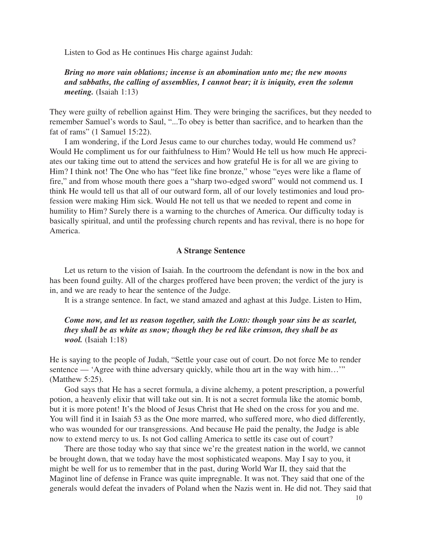Listen to God as He continues His charge against Judah:

# *Bring no more vain oblations; incense is an abomination unto me; the new moons and sabbaths, the calling of assemblies, I cannot bear; it is iniquity, even the solemn meeting.* (Isaiah 1:13)

They were guilty of rebellion against Him. They were bringing the sacrifices, but they needed to remember Samuel's words to Saul, "...To obey is better than sacrifice, and to hearken than the fat of rams" (1 Samuel 15:22).

I am wondering, if the Lord Jesus came to our churches today, would He commend us? Would He compliment us for our faithfulness to Him? Would He tell us how much He appreciates our taking time out to attend the services and how grateful He is for all we are giving to Him? I think not! The One who has "feet like fine bronze," whose "eyes were like a flame of fire," and from whose mouth there goes a "sharp two-edged sword" would not commend us. I think He would tell us that all of our outward form, all of our lovely testimonies and loud profession were making Him sick. Would He not tell us that we needed to repent and come in humility to Him? Surely there is a warning to the churches of America. Our difficulty today is basically spiritual, and until the professing church repents and has revival, there is no hope for America.

#### **A Strange Sentence**

Let us return to the vision of Isaiah. In the courtroom the defendant is now in the box and has been found guilty. All of the charges proffered have been proven; the verdict of the jury is in, and we are ready to hear the sentence of the Judge.

It is a strange sentence. In fact, we stand amazed and aghast at this Judge. Listen to Him,

## *Come now, and let us reason together, saith the LORD: though your sins be as scarlet, they shall be as white as snow; though they be red like crimson, they shall be as wool.* (Isaiah 1:18)

He is saying to the people of Judah, "Settle your case out of court. Do not force Me to render sentence — 'Agree with thine adversary quickly, while thou art in the way with him...'" (Matthew 5:25).

God says that He has a secret formula, a divine alchemy, a potent prescription, a powerful potion, a heavenly elixir that will take out sin. It is not a secret formula like the atomic bomb, but it is more potent! It's the blood of Jesus Christ that He shed on the cross for you and me. You will find it in Isaiah 53 as the One more marred, who suffered more, who died differently, who was wounded for our transgressions. And because He paid the penalty, the Judge is able now to extend mercy to us. Is not God calling America to settle its case out of court?

There are those today who say that since we're the greatest nation in the world, we cannot be brought down, that we today have the most sophisticated weapons. May I say to you, it might be well for us to remember that in the past, during World War II, they said that the Maginot line of defense in France was quite impregnable. It was not. They said that one of the generals would defeat the invaders of Poland when the Nazis went in. He did not. They said that